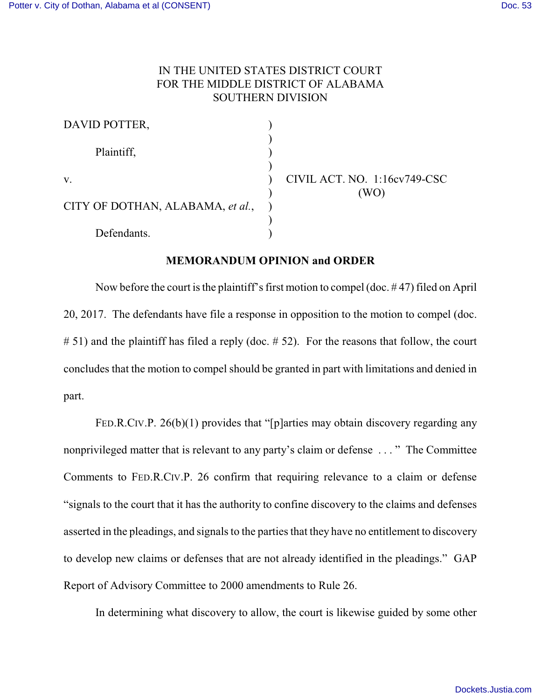## IN THE UNITED STATES DISTRICT COURT FOR THE MIDDLE DISTRICT OF ALABAMA SOUTHERN DIVISION

| DAVID POTTER,                    |                              |
|----------------------------------|------------------------------|
|                                  |                              |
| Plaintiff,                       |                              |
| V.                               | CIVIL ACT. NO. 1:16cv749-CSC |
|                                  |                              |
| CITY OF DOTHAN, ALABAMA, et al., |                              |
|                                  |                              |
| Defendants.                      |                              |

## **MEMORANDUM OPINION and ORDER**

Now before the court is the plaintiff's first motion to compel (doc. # 47) filed on April 20, 2017. The defendants have file a response in opposition to the motion to compel (doc. # 51) and the plaintiff has filed a reply (doc. # 52). For the reasons that follow, the court concludes that the motion to compel should be granted in part with limitations and denied in part.

FED.R.CIV.P. 26(b)(1) provides that "[p]arties may obtain discovery regarding any nonprivileged matter that is relevant to any party's claim or defense . . . " The Committee Comments to FED.R.CIV.P. 26 confirm that requiring relevance to a claim or defense "signals to the court that it has the authority to confine discovery to the claims and defenses asserted in the pleadings, and signals to the parties that they have no entitlement to discovery to develop new claims or defenses that are not already identified in the pleadings." GAP Report of Advisory Committee to 2000 amendments to Rule 26.

In determining what discovery to allow, the court is likewise guided by some other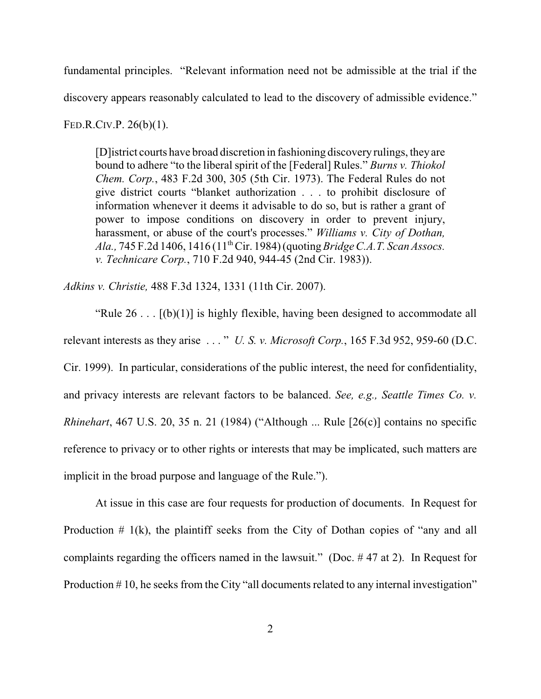fundamental principles. "Relevant information need not be admissible at the trial if the discovery appears reasonably calculated to lead to the discovery of admissible evidence."

FED.R.CIV.P. 26(b)(1).

[D]istrict courts have broad discretion in fashioning discovery rulings, they are bound to adhere "to the liberal spirit of the [Federal] Rules." *Burns v. Thiokol Chem. Corp.*, 483 F.2d 300, 305 (5th Cir. 1973). The Federal Rules do not give district courts "blanket authorization . . . to prohibit disclosure of information whenever it deems it advisable to do so, but is rather a grant of power to impose conditions on discovery in order to prevent injury, harassment, or abuse of the court's processes." *Williams v. City of Dothan, Ala.*, 745 F.2d 1406, 1416 (11<sup>th</sup> Cir. 1984) (quoting *Bridge C.A.T. Scan Assocs. v. Technicare Corp.*, 710 F.2d 940, 944-45 (2nd Cir. 1983)).

*Adkins v. Christie,* 488 F.3d 1324, 1331 (11th Cir. 2007).

"Rule  $26$ ...  $[(b)(1)]$  is highly flexible, having been designed to accommodate all relevant interests as they arise . . . " *U. S. v. Microsoft Corp.*, 165 F.3d 952, 959-60 (D.C. Cir. 1999). In particular, considerations of the public interest, the need for confidentiality, and privacy interests are relevant factors to be balanced. *See, e.g., Seattle Times Co. v. Rhinehart*, 467 U.S. 20, 35 n. 21 (1984) ("Although ... Rule [26(c)] contains no specific reference to privacy or to other rights or interests that may be implicated, such matters are implicit in the broad purpose and language of the Rule.").

At issue in this case are four requests for production of documents. In Request for Production  $# 1(k)$ , the plaintiff seeks from the City of Dothan copies of "any and all complaints regarding the officers named in the lawsuit." (Doc. # 47 at 2). In Request for Production #10, he seeks from the City "all documents related to any internal investigation"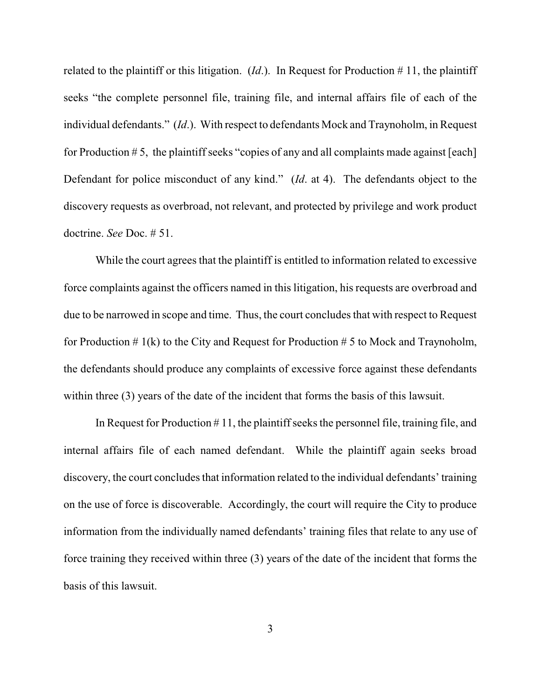related to the plaintiff or this litigation.  $(Id.)$ . In Request for Production # 11, the plaintiff seeks "the complete personnel file, training file, and internal affairs file of each of the individual defendants." (*Id*.). With respect to defendants Mock and Traynoholm, in Request for Production  $# 5$ , the plaintiff seeks "copies of any and all complaints made against [each] Defendant for police misconduct of any kind." (*Id*. at 4). The defendants object to the discovery requests as overbroad, not relevant, and protected by privilege and work product doctrine. *See* Doc. # 51.

While the court agrees that the plaintiff is entitled to information related to excessive force complaints against the officers named in this litigation, his requests are overbroad and due to be narrowed in scope and time. Thus, the court concludes that with respect to Request for Production  $\# 1(k)$  to the City and Request for Production  $\# 5$  to Mock and Traynoholm, the defendants should produce any complaints of excessive force against these defendants within three (3) years of the date of the incident that forms the basis of this lawsuit.

In Request for Production  $# 11$ , the plaintiff seeks the personnel file, training file, and internal affairs file of each named defendant. While the plaintiff again seeks broad discovery, the court concludes that information related to the individual defendants' training on the use of force is discoverable. Accordingly, the court will require the City to produce information from the individually named defendants' training files that relate to any use of force training they received within three (3) years of the date of the incident that forms the basis of this lawsuit.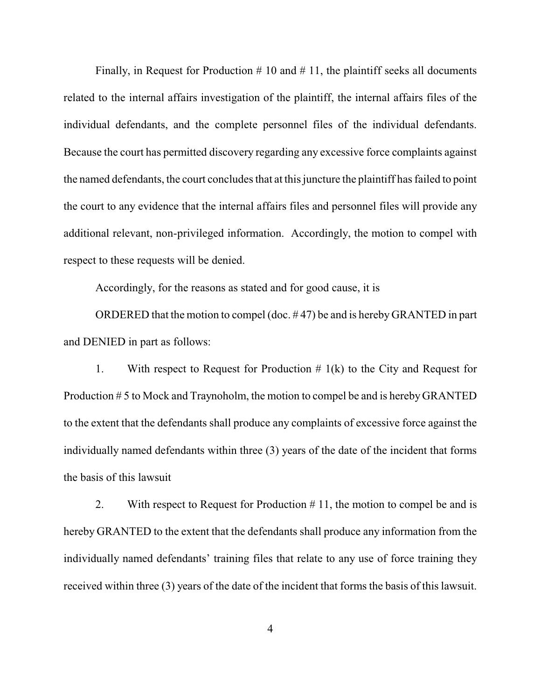Finally, in Request for Production  $# 10$  and  $# 11$ , the plaintiff seeks all documents related to the internal affairs investigation of the plaintiff, the internal affairs files of the individual defendants, and the complete personnel files of the individual defendants. Because the court has permitted discovery regarding any excessive force complaints against the named defendants, the court concludes that at this juncture the plaintiff has failed to point the court to any evidence that the internal affairs files and personnel files will provide any additional relevant, non-privileged information. Accordingly, the motion to compel with respect to these requests will be denied.

Accordingly, for the reasons as stated and for good cause, it is

ORDERED that the motion to compel (doc. # 47) be and is hereby GRANTED in part and DENIED in part as follows:

1. With respect to Request for Production  $# 1(k)$  to the City and Request for Production # 5 to Mock and Traynoholm, the motion to compel be and is hereby GRANTED to the extent that the defendants shall produce any complaints of excessive force against the individually named defendants within three (3) years of the date of the incident that forms the basis of this lawsuit

2. With respect to Request for Production  $# 11$ , the motion to compel be and is hereby GRANTED to the extent that the defendants shall produce any information from the individually named defendants' training files that relate to any use of force training they received within three (3) years of the date of the incident that forms the basis of this lawsuit.